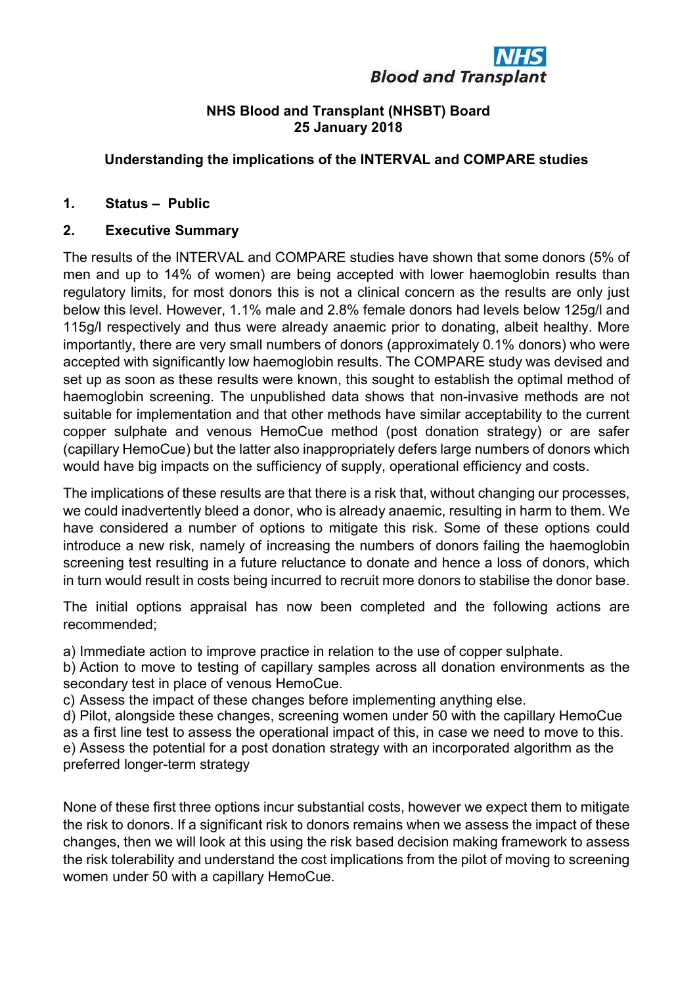# **Blood and Transplant**

#### NHS Blood and Transplant (NHSBT) Board 25 January 2018

## Understanding the implications of the INTERVAL and COMPARE studies

## 1. Status – Public

## 2. Executive Summary

The results of the INTERVAL and COMPARE studies have shown that some donors (5% of men and up to 14% of women) are being accepted with lower haemoglobin results than regulatory limits, for most donors this is not a clinical concern as the results are only just below this level. However, 1.1% male and 2.8% female donors had levels below 125g/l and 115g/l respectively and thus were already anaemic prior to donating, albeit healthy. More importantly, there are very small numbers of donors (approximately 0.1% donors) who were accepted with significantly low haemoglobin results. The COMPARE study was devised and set up as soon as these results were known, this sought to establish the optimal method of haemoglobin screening. The unpublished data shows that non-invasive methods are not suitable for implementation and that other methods have similar acceptability to the current copper sulphate and venous HemoCue method (post donation strategy) or are safer (capillary HemoCue) but the latter also inappropriately defers large numbers of donors which would have big impacts on the sufficiency of supply, operational efficiency and costs.

The implications of these results are that there is a risk that, without changing our processes, we could inadvertently bleed a donor, who is already anaemic, resulting in harm to them. We have considered a number of options to mitigate this risk. Some of these options could introduce a new risk, namely of increasing the numbers of donors failing the haemoglobin screening test resulting in a future reluctance to donate and hence a loss of donors, which in turn would result in costs being incurred to recruit more donors to stabilise the donor base.

The initial options appraisal has now been completed and the following actions are recommended;

a) Immediate action to improve practice in relation to the use of copper sulphate.

b) Action to move to testing of capillary samples across all donation environments as the secondary test in place of venous HemoCue.

c) Assess the impact of these changes before implementing anything else.

d) Pilot, alongside these changes, screening women under 50 with the capillary HemoCue as a first line test to assess the operational impact of this, in case we need to move to this.

e) Assess the potential for a post donation strategy with an incorporated algorithm as the preferred longer-term strategy

None of these first three options incur substantial costs, however we expect them to mitigate the risk to donors. If a significant risk to donors remains when we assess the impact of these changes, then we will look at this using the risk based decision making framework to assess the risk tolerability and understand the cost implications from the pilot of moving to screening women under 50 with a capillary HemoCue.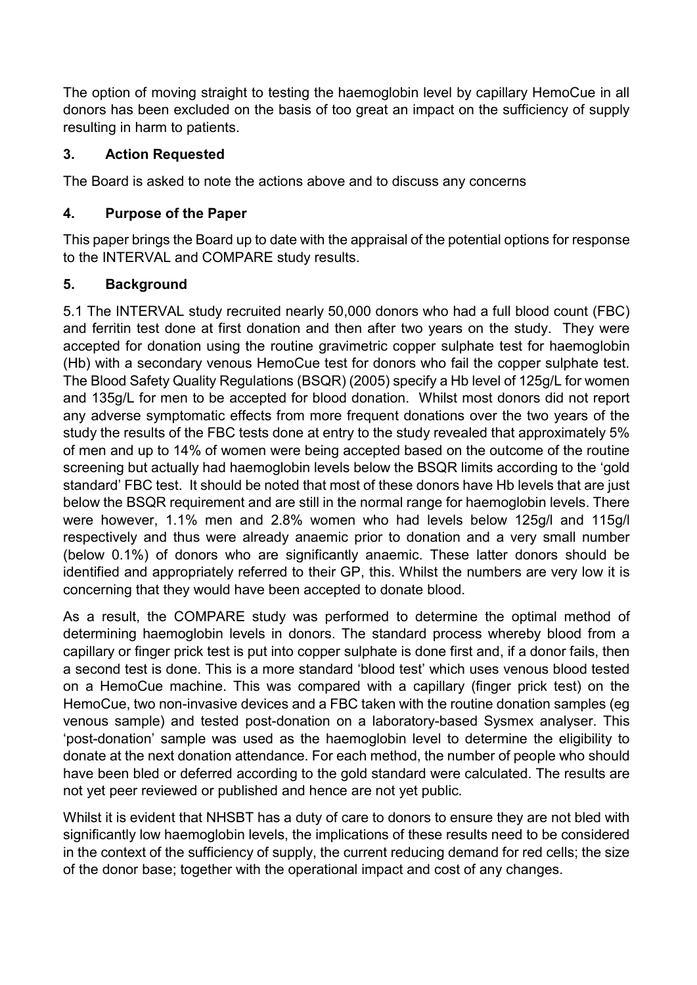The option of moving straight to testing the haemoglobin level by capillary HemoCue in all donors has been excluded on the basis of too great an impact on the sufficiency of supply resulting in harm to patients.

# 3. Action Requested

The Board is asked to note the actions above and to discuss any concerns

## 4. Purpose of the Paper

This paper brings the Board up to date with the appraisal of the potential options for response to the INTERVAL and COMPARE study results.

# 5. Background

5.1 The INTERVAL study recruited nearly 50,000 donors who had a full blood count (FBC) and ferritin test done at first donation and then after two years on the study. They were accepted for donation using the routine gravimetric copper sulphate test for haemoglobin (Hb) with a secondary venous HemoCue test for donors who fail the copper sulphate test. The Blood Safety Quality Regulations (BSQR) (2005) specify a Hb level of 125g/L for women and 135g/L for men to be accepted for blood donation. Whilst most donors did not report any adverse symptomatic effects from more frequent donations over the two years of the study the results of the FBC tests done at entry to the study revealed that approximately 5% of men and up to 14% of women were being accepted based on the outcome of the routine screening but actually had haemoglobin levels below the BSQR limits according to the 'gold standard' FBC test. It should be noted that most of these donors have Hb levels that are just below the BSQR requirement and are still in the normal range for haemoglobin levels. There were however, 1.1% men and 2.8% women who had levels below 125g/l and 115g/l respectively and thus were already anaemic prior to donation and a very small number (below 0.1%) of donors who are significantly anaemic. These latter donors should be identified and appropriately referred to their GP, this. Whilst the numbers are very low it is concerning that they would have been accepted to donate blood.

As a result, the COMPARE study was performed to determine the optimal method of determining haemoglobin levels in donors. The standard process whereby blood from a capillary or finger prick test is put into copper sulphate is done first and, if a donor fails, then a second test is done. This is a more standard 'blood test' which uses venous blood tested on a HemoCue machine. This was compared with a capillary (finger prick test) on the HemoCue, two non-invasive devices and a FBC taken with the routine donation samples (eg venous sample) and tested post-donation on a laboratory-based Sysmex analyser. This 'post-donation' sample was used as the haemoglobin level to determine the eligibility to donate at the next donation attendance. For each method, the number of people who should have been bled or deferred according to the gold standard were calculated. The results are not yet peer reviewed or published and hence are not yet public.

Whilst it is evident that NHSBT has a duty of care to donors to ensure they are not bled with significantly low haemoglobin levels, the implications of these results need to be considered in the context of the sufficiency of supply, the current reducing demand for red cells; the size of the donor base; together with the operational impact and cost of any changes.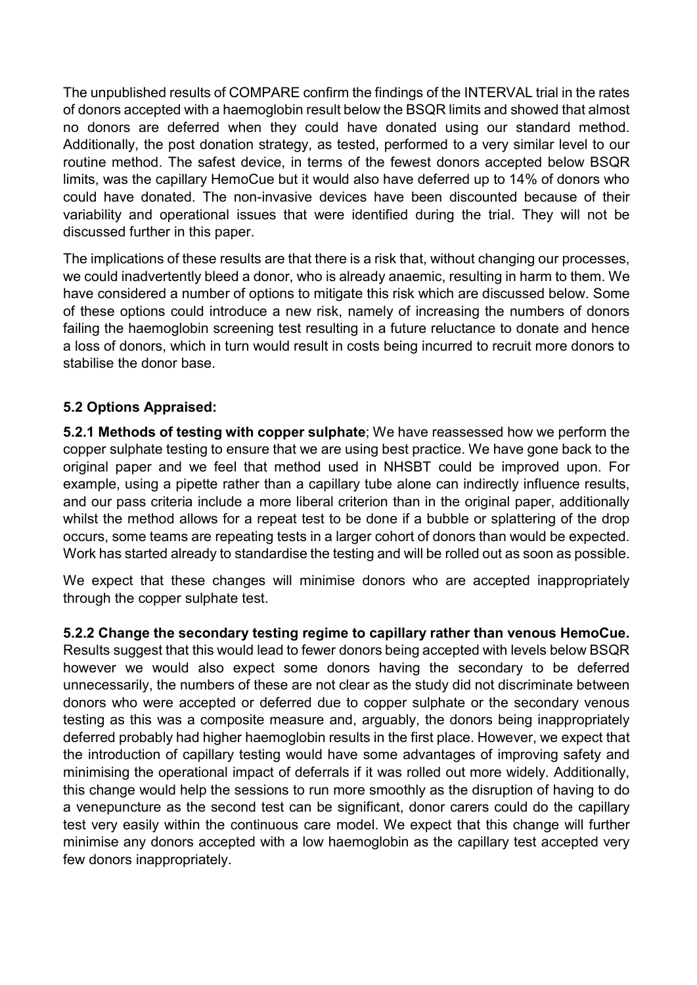The unpublished results of COMPARE confirm the findings of the INTERVAL trial in the rates of donors accepted with a haemoglobin result below the BSQR limits and showed that almost no donors are deferred when they could have donated using our standard method. Additionally, the post donation strategy, as tested, performed to a very similar level to our routine method. The safest device, in terms of the fewest donors accepted below BSQR limits, was the capillary HemoCue but it would also have deferred up to 14% of donors who could have donated. The non-invasive devices have been discounted because of their variability and operational issues that were identified during the trial. They will not be discussed further in this paper.

The implications of these results are that there is a risk that, without changing our processes, we could inadvertently bleed a donor, who is already anaemic, resulting in harm to them. We have considered a number of options to mitigate this risk which are discussed below. Some of these options could introduce a new risk, namely of increasing the numbers of donors failing the haemoglobin screening test resulting in a future reluctance to donate and hence a loss of donors, which in turn would result in costs being incurred to recruit more donors to stabilise the donor base.

## 5.2 Options Appraised:

5.2.1 Methods of testing with copper sulphate; We have reassessed how we perform the copper sulphate testing to ensure that we are using best practice. We have gone back to the original paper and we feel that method used in NHSBT could be improved upon. For example, using a pipette rather than a capillary tube alone can indirectly influence results, and our pass criteria include a more liberal criterion than in the original paper, additionally whilst the method allows for a repeat test to be done if a bubble or splattering of the drop occurs, some teams are repeating tests in a larger cohort of donors than would be expected. Work has started already to standardise the testing and will be rolled out as soon as possible.

We expect that these changes will minimise donors who are accepted inappropriately through the copper sulphate test.

5.2.2 Change the secondary testing regime to capillary rather than venous HemoCue.

Results suggest that this would lead to fewer donors being accepted with levels below BSQR however we would also expect some donors having the secondary to be deferred unnecessarily, the numbers of these are not clear as the study did not discriminate between donors who were accepted or deferred due to copper sulphate or the secondary venous testing as this was a composite measure and, arguably, the donors being inappropriately deferred probably had higher haemoglobin results in the first place. However, we expect that the introduction of capillary testing would have some advantages of improving safety and minimising the operational impact of deferrals if it was rolled out more widely. Additionally, this change would help the sessions to run more smoothly as the disruption of having to do a venepuncture as the second test can be significant, donor carers could do the capillary test very easily within the continuous care model. We expect that this change will further minimise any donors accepted with a low haemoglobin as the capillary test accepted very few donors inappropriately.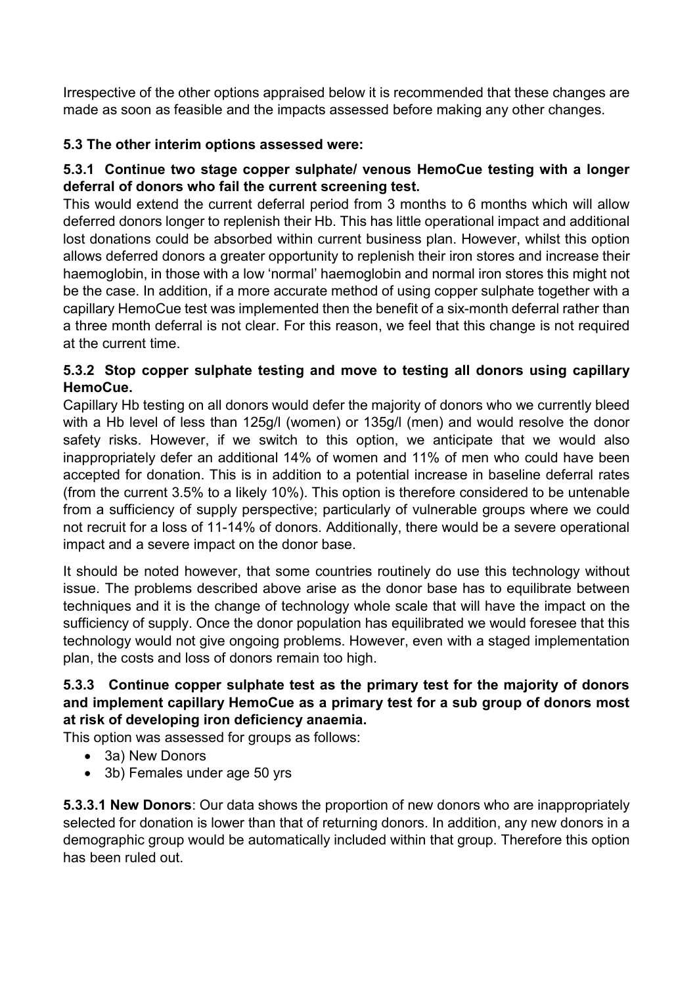Irrespective of the other options appraised below it is recommended that these changes are made as soon as feasible and the impacts assessed before making any other changes.

# 5.3 The other interim options assessed were:

# 5.3.1 Continue two stage copper sulphate/ venous HemoCue testing with a longer deferral of donors who fail the current screening test.

This would extend the current deferral period from 3 months to 6 months which will allow deferred donors longer to replenish their Hb. This has little operational impact and additional lost donations could be absorbed within current business plan. However, whilst this option allows deferred donors a greater opportunity to replenish their iron stores and increase their haemoglobin, in those with a low 'normal' haemoglobin and normal iron stores this might not be the case. In addition, if a more accurate method of using copper sulphate together with a capillary HemoCue test was implemented then the benefit of a six-month deferral rather than a three month deferral is not clear. For this reason, we feel that this change is not required at the current time.

# 5.3.2 Stop copper sulphate testing and move to testing all donors using capillary HemoCue.

Capillary Hb testing on all donors would defer the majority of donors who we currently bleed with a Hb level of less than 125g/l (women) or 135g/l (men) and would resolve the donor safety risks. However, if we switch to this option, we anticipate that we would also inappropriately defer an additional 14% of women and 11% of men who could have been accepted for donation. This is in addition to a potential increase in baseline deferral rates (from the current 3.5% to a likely 10%). This option is therefore considered to be untenable from a sufficiency of supply perspective; particularly of vulnerable groups where we could not recruit for a loss of 11-14% of donors. Additionally, there would be a severe operational impact and a severe impact on the donor base.

It should be noted however, that some countries routinely do use this technology without issue. The problems described above arise as the donor base has to equilibrate between techniques and it is the change of technology whole scale that will have the impact on the sufficiency of supply. Once the donor population has equilibrated we would foresee that this technology would not give ongoing problems. However, even with a staged implementation plan, the costs and loss of donors remain too high.

# 5.3.3 Continue copper sulphate test as the primary test for the majority of donors and implement capillary HemoCue as a primary test for a sub group of donors most at risk of developing iron deficiency anaemia.

This option was assessed for groups as follows:

- 3a) New Donors
- 3b) Females under age 50 yrs

**5.3.3.1 New Donors:** Our data shows the proportion of new donors who are inappropriately selected for donation is lower than that of returning donors. In addition, any new donors in a demographic group would be automatically included within that group. Therefore this option has been ruled out.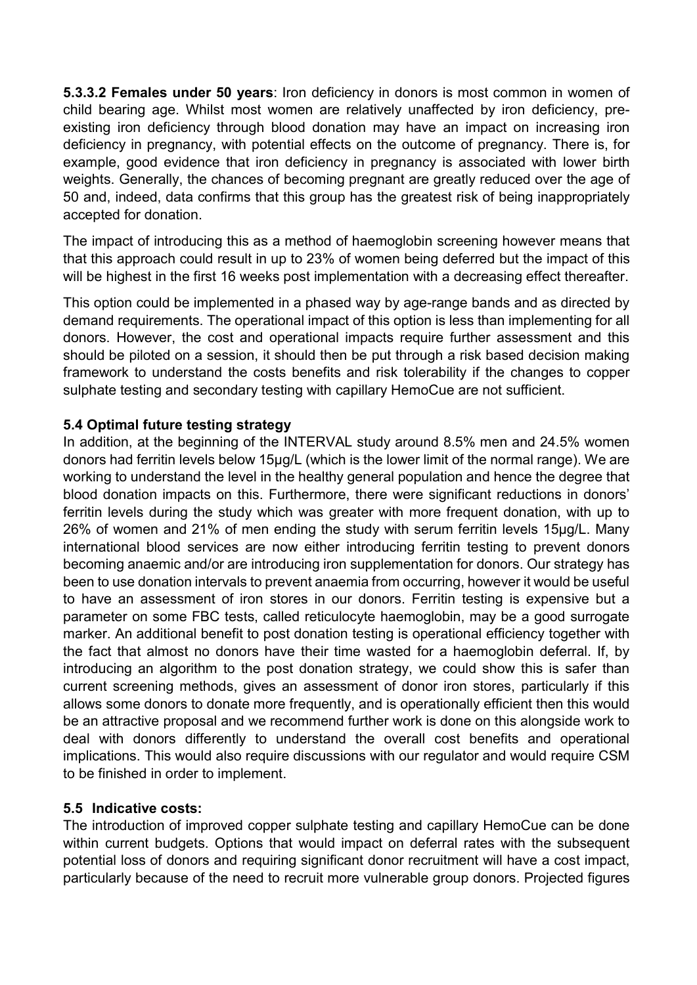5.3.3.2 Females under 50 years: Iron deficiency in donors is most common in women of child bearing age. Whilst most women are relatively unaffected by iron deficiency, preexisting iron deficiency through blood donation may have an impact on increasing iron deficiency in pregnancy, with potential effects on the outcome of pregnancy. There is, for example, good evidence that iron deficiency in pregnancy is associated with lower birth weights. Generally, the chances of becoming pregnant are greatly reduced over the age of 50 and, indeed, data confirms that this group has the greatest risk of being inappropriately accepted for donation.

The impact of introducing this as a method of haemoglobin screening however means that that this approach could result in up to 23% of women being deferred but the impact of this will be highest in the first 16 weeks post implementation with a decreasing effect thereafter.

This option could be implemented in a phased way by age-range bands and as directed by demand requirements. The operational impact of this option is less than implementing for all donors. However, the cost and operational impacts require further assessment and this should be piloted on a session, it should then be put through a risk based decision making framework to understand the costs benefits and risk tolerability if the changes to copper sulphate testing and secondary testing with capillary HemoCue are not sufficient.

#### 5.4 Optimal future testing strategy

In addition, at the beginning of the INTERVAL study around 8.5% men and 24.5% women donors had ferritin levels below 15µg/L (which is the lower limit of the normal range). We are working to understand the level in the healthy general population and hence the degree that blood donation impacts on this. Furthermore, there were significant reductions in donors' ferritin levels during the study which was greater with more frequent donation, with up to 26% of women and 21% of men ending the study with serum ferritin levels 15µg/L. Many international blood services are now either introducing ferritin testing to prevent donors becoming anaemic and/or are introducing iron supplementation for donors. Our strategy has been to use donation intervals to prevent anaemia from occurring, however it would be useful to have an assessment of iron stores in our donors. Ferritin testing is expensive but a parameter on some FBC tests, called reticulocyte haemoglobin, may be a good surrogate marker. An additional benefit to post donation testing is operational efficiency together with the fact that almost no donors have their time wasted for a haemoglobin deferral. If, by introducing an algorithm to the post donation strategy, we could show this is safer than current screening methods, gives an assessment of donor iron stores, particularly if this allows some donors to donate more frequently, and is operationally efficient then this would be an attractive proposal and we recommend further work is done on this alongside work to deal with donors differently to understand the overall cost benefits and operational implications. This would also require discussions with our regulator and would require CSM to be finished in order to implement.

#### 5.5 Indicative costs:

The introduction of improved copper sulphate testing and capillary HemoCue can be done within current budgets. Options that would impact on deferral rates with the subsequent potential loss of donors and requiring significant donor recruitment will have a cost impact, particularly because of the need to recruit more vulnerable group donors. Projected figures